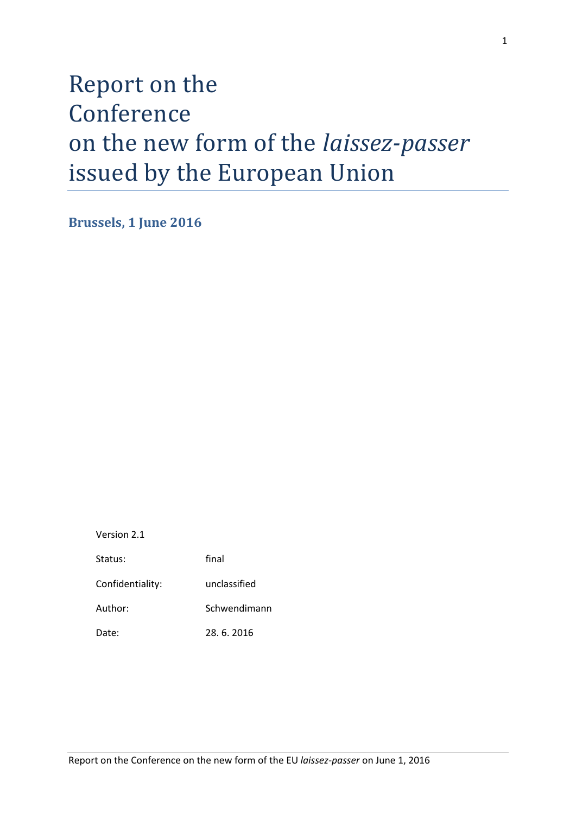# Report on the Conference on the new form of the *laissez-passer* issued by the European Union

**Brussels, 1 June 2016**

Version 2.1

| Status:          | final        |
|------------------|--------------|
| Confidentiality: | unclassified |
| Author:          | Schwendimann |
| Date:            | 28.6.2016    |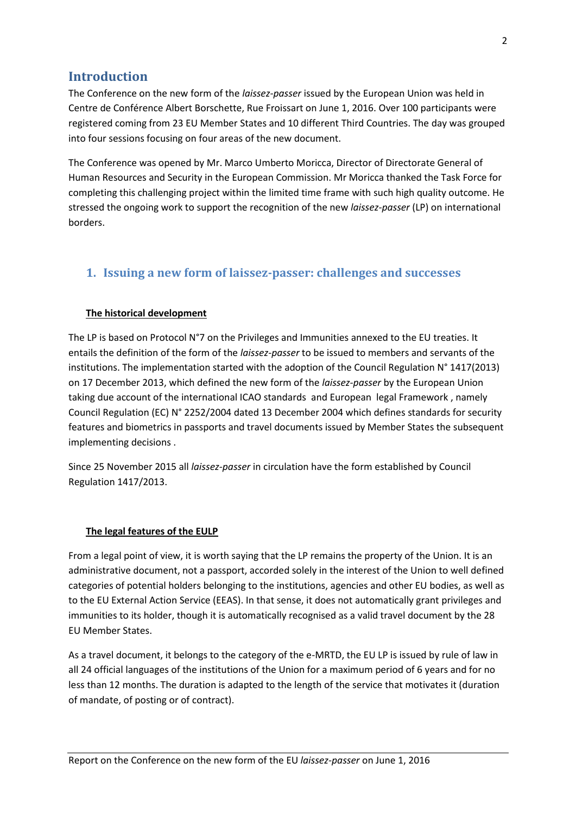# **Introduction**

The Conference on the new form of the *laissez-passer* issued by the European Union was held in Centre de Conférence Albert Borschette, Rue Froissart on June 1, 2016. Over 100 participants were registered coming from 23 EU Member States and 10 different Third Countries. The day was grouped into four sessions focusing on four areas of the new document.

The Conference was opened by Mr. Marco Umberto Moricca, Director of Directorate General of Human Resources and Security in the European Commission. Mr Moricca thanked the Task Force for completing this challenging project within the limited time frame with such high quality outcome. He stressed the ongoing work to support the recognition of the new *laissez-passer* (LP) on international borders.

## **1. Issuing a new form of laissez-passer: challenges and successes**

#### **The historical development**

The LP is based on Protocol N°7 on the Privileges and Immunities annexed to the EU treaties. It entails the definition of the form of the *laissez-passer* to be issued to members and servants of the institutions. The implementation started with the adoption of the Council Regulation N° 1417(2013) on 17 December 2013, which defined the new form of the *laissez-passer* by the European Union taking due account of the international ICAO standards and European legal Framework , namely Council Regulation (EC) N° 2252/2004 dated 13 December 2004 which defines standards for security features and biometrics in passports and travel documents issued by Member States the subsequent implementing decisions .

Since 25 November 2015 all *laissez-passer* in circulation have the form established by Council Regulation 1417/2013.

#### **The legal features of the EULP**

From a legal point of view, it is worth saying that the LP remains the property of the Union. It is an administrative document, not a passport, accorded solely in the interest of the Union to well defined categories of potential holders belonging to the institutions, agencies and other EU bodies, as well as to the EU External Action Service (EEAS). In that sense, it does not automatically grant privileges and immunities to its holder, though it is automatically recognised as a valid travel document by the 28 EU Member States.

As a travel document, it belongs to the category of the e-MRTD, the EU LP is issued by rule of law in all 24 official languages of the institutions of the Union for a maximum period of 6 years and for no less than 12 months. The duration is adapted to the length of the service that motivates it (duration of mandate, of posting or of contract).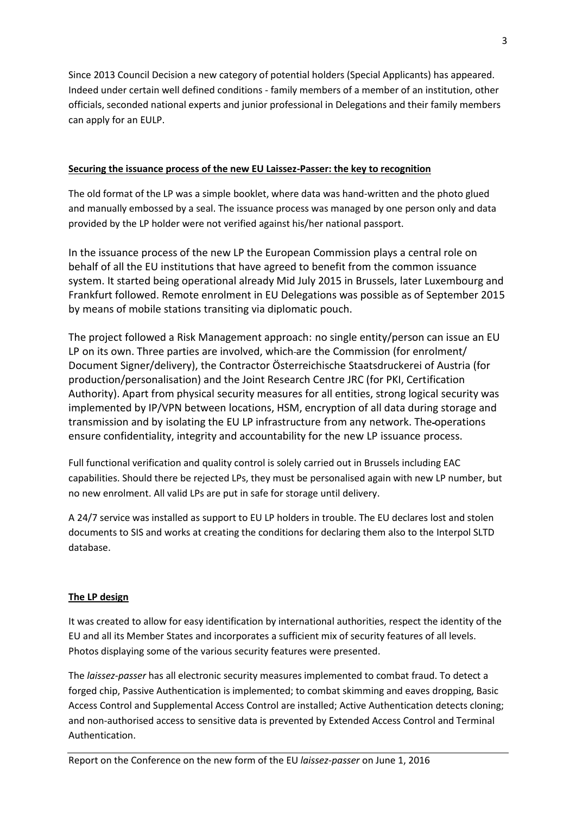Since 2013 Council Decision a new category of potential holders (Special Applicants) has appeared. Indeed under certain well defined conditions - family members of a member of an institution, other officials, seconded national experts and junior professional in Delegations and their family members can apply for an EULP.

#### **Securing the issuance process of the new EU Laissez-Passer: the key to recognition**

The old format of the LP was a simple booklet, where data was hand-written and the photo glued and manually embossed by a seal. The issuance process was managed by one person only and data provided by the LP holder were not verified against his/her national passport.

In the issuance process of the new LP the European Commission plays a central role on behalf of all the EU institutions that have agreed to benefit from the common issuance system. It started being operational already Mid July 2015 in Brussels, later Luxembourg and Frankfurt followed. Remote enrolment in EU Delegations was possible as of September 2015 by means of mobile stations transiting via diplomatic pouch.

The project followed a Risk Management approach: no single entity/person can issue an EU LP on its own. Three parties are involved, which are the Commission (for enrolment/ Document Signer/delivery), the Contractor Österreichische Staatsdruckerei of Austria (for production/personalisation) and the Joint Research Centre JRC (for PKI, Certification Authority). Apart from physical security measures for all entities, strong logical security was implemented by IP/VPN between locations, HSM, encryption of all data during storage and transmission and by isolating the EU LP infrastructure from any network. The operations ensure confidentiality, integrity and accountability for the new LP issuance process.

Full functional verification and quality control is solely carried out in Brussels including EAC capabilities. Should there be rejected LPs, they must be personalised again with new LP number, but no new enrolment. All valid LPs are put in safe for storage until delivery.

A 24/7 service was installed as support to EU LP holders in trouble. The EU declares lost and stolen documents to SIS and works at creating the conditions for declaring them also to the Interpol SLTD database.

#### **The LP design**

It was created to allow for easy identification by international authorities, respect the identity of the EU and all its Member States and incorporates a sufficient mix of security features of all levels. Photos displaying some of the various security features were presented.

The *laissez-passer* has all electronic security measures implemented to combat fraud. To detect a forged chip, Passive Authentication is implemented; to combat skimming and eaves dropping, Basic Access Control and Supplemental Access Control are installed; Active Authentication detects cloning; and non-authorised access to sensitive data is prevented by Extended Access Control and Terminal Authentication.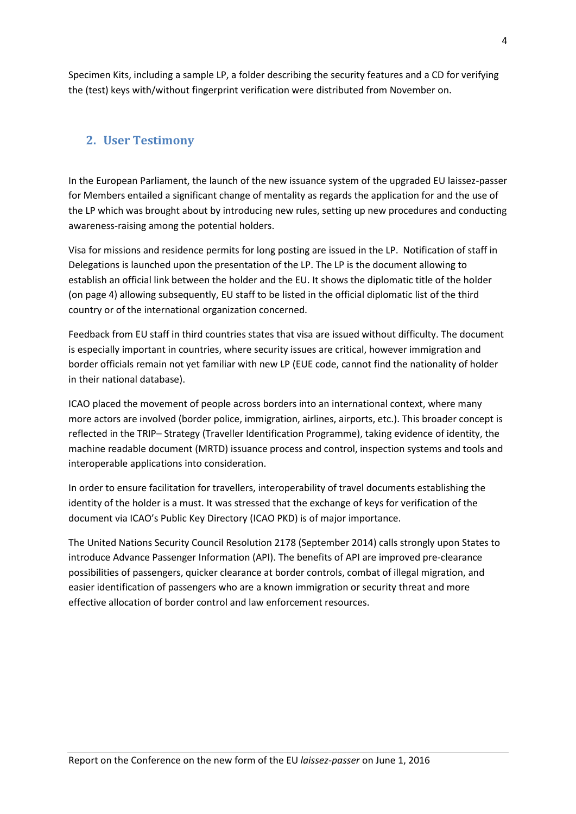Specimen Kits, including a sample LP, a folder describing the security features and a CD for verifying the (test) keys with/without fingerprint verification were distributed from November on.

## **2. User Testimony**

In the European Parliament, the launch of the new issuance system of the upgraded EU laissez-passer for Members entailed a significant change of mentality as regards the application for and the use of the LP which was brought about by introducing new rules, setting up new procedures and conducting awareness-raising among the potential holders.

Visa for missions and residence permits for long posting are issued in the LP. Notification of staff in Delegations is launched upon the presentation of the LP. The LP is the document allowing to establish an official link between the holder and the EU. It shows the diplomatic title of the holder (on page 4) allowing subsequently, EU staff to be listed in the official diplomatic list of the third country or of the international organization concerned.

Feedback from EU staff in third countries states that visa are issued without difficulty. The document is especially important in countries, where security issues are critical, however immigration and border officials remain not yet familiar with new LP (EUE code, cannot find the nationality of holder in their national database).

ICAO placed the movement of people across borders into an international context, where many more actors are involved (border police, immigration, airlines, airports, etc.). This broader concept is reflected in the TRIP– Strategy (Traveller Identification Programme), taking evidence of identity, the machine readable document (MRTD) issuance process and control, inspection systems and tools and interoperable applications into consideration.

In order to ensure facilitation for travellers, interoperability of travel documents establishing the identity of the holder is a must. It was stressed that the exchange of keys for verification of the document via ICAO's Public Key Directory (ICAO PKD) is of major importance.

The United Nations Security Council Resolution 2178 (September 2014) calls strongly upon States to introduce Advance Passenger Information (API). The benefits of API are improved pre-clearance possibilities of passengers, quicker clearance at border controls, combat of illegal migration, and easier identification of passengers who are a known immigration or security threat and more effective allocation of border control and law enforcement resources.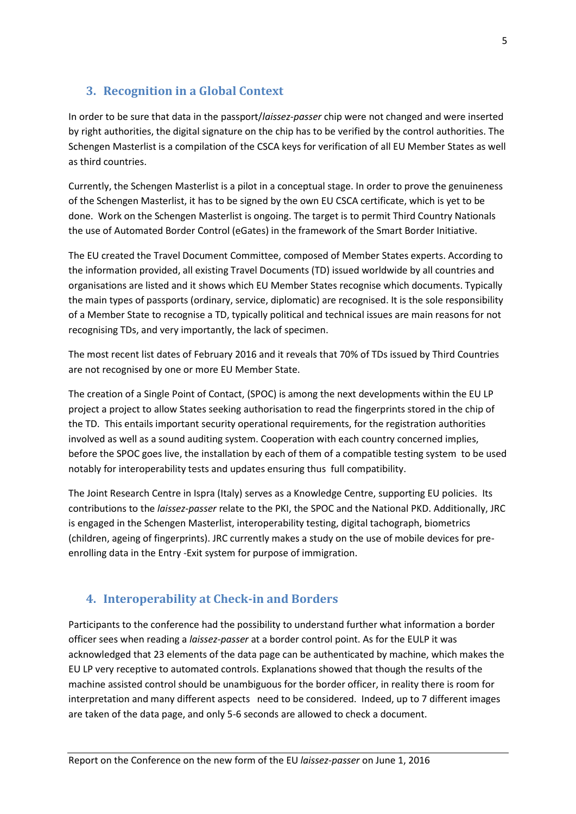# **3. Recognition in a Global Context**

In order to be sure that data in the passport/*laissez-passer* chip were not changed and were inserted by right authorities, the digital signature on the chip has to be verified by the control authorities. The Schengen Masterlist is a compilation of the CSCA keys for verification of all EU Member States as well as third countries.

Currently, the Schengen Masterlist is a pilot in a conceptual stage. In order to prove the genuineness of the Schengen Masterlist, it has to be signed by the own EU CSCA certificate, which is yet to be done. Work on the Schengen Masterlist is ongoing. The target is to permit Third Country Nationals the use of Automated Border Control (eGates) in the framework of the Smart Border Initiative.

The EU created the Travel Document Committee, composed of Member States experts. According to the information provided, all existing Travel Documents (TD) issued worldwide by all countries and organisations are listed and it shows which EU Member States recognise which documents. Typically the main types of passports (ordinary, service, diplomatic) are recognised. It is the sole responsibility of a Member State to recognise a TD, typically political and technical issues are main reasons for not recognising TDs, and very importantly, the lack of specimen.

The most recent list dates of February 2016 and it reveals that 70% of TDs issued by Third Countries are not recognised by one or more EU Member State.

The creation of a Single Point of Contact, (SPOC) is among the next developments within the EU LP project a project to allow States seeking authorisation to read the fingerprints stored in the chip of the TD. This entails important security operational requirements, for the registration authorities involved as well as a sound auditing system. Cooperation with each country concerned implies, before the SPOC goes live, the installation by each of them of a compatible testing system to be used notably for interoperability tests and updates ensuring thus full compatibility.

The Joint Research Centre in Ispra (Italy) serves as a Knowledge Centre, supporting EU policies. Its contributions to the *laissez-passer* relate to the PKI, the SPOC and the National PKD. Additionally, JRC is engaged in the Schengen Masterlist, interoperability testing, digital tachograph, biometrics (children, ageing of fingerprints). JRC currently makes a study on the use of mobile devices for preenrolling data in the Entry -Exit system for purpose of immigration.

## **4. Interoperability at Check-in and Borders**

Participants to the conference had the possibility to understand further what information a border officer sees when reading a *laissez-passer* at a border control point. As for the EULP it was acknowledged that 23 elements of the data page can be authenticated by machine, which makes the EU LP very receptive to automated controls. Explanations showed that though the results of the machine assisted control should be unambiguous for the border officer, in reality there is room for interpretation and many different aspects need to be considered. Indeed, up to 7 different images are taken of the data page, and only 5-6 seconds are allowed to check a document.